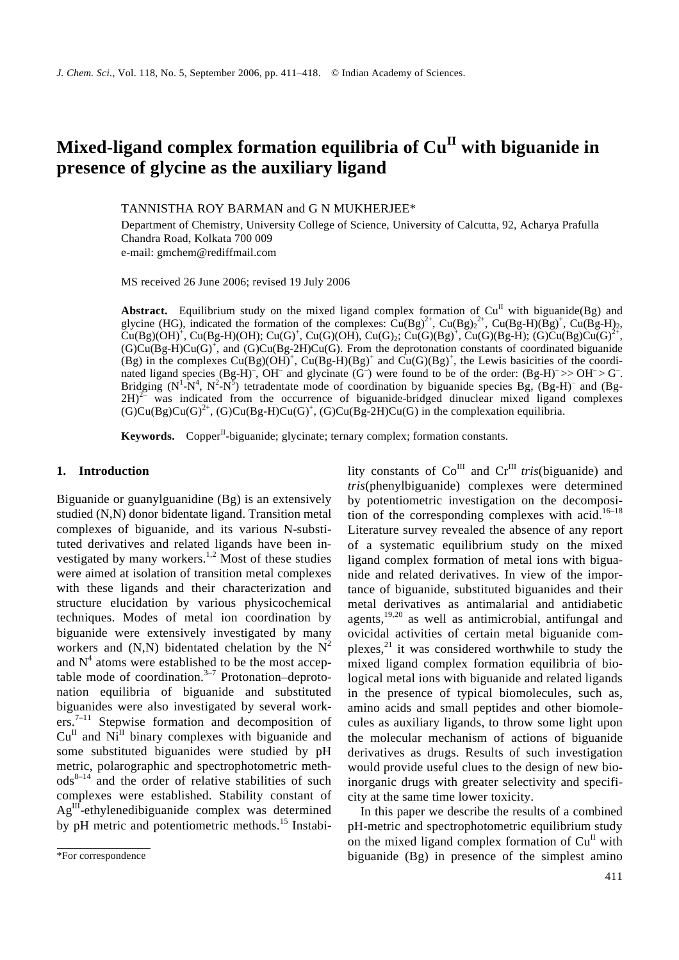# **Mixed-ligand complex formation equilibria of CuII with biguanide in presence of glycine as the auxiliary ligand**

TANNISTHA ROY BARMAN and G N MUKHERJEE\*

Department of Chemistry, University College of Science, University of Calcutta, 92, Acharya Prafulla Chandra Road, Kolkata 700 009 e-mail: gmchem@rediffmail.com

MS received 26 June 2006; revised 19 July 2006

Abstract. Equilibrium study on the mixed ligand complex formation of  $Cu<sup>H</sup>$  with biguanide(Bg) and glycine (HG), indicated the formation of the complexes:  $\text{Cu(Bg)}^{2+}$ ,  $\text{Cu(Bg)}^{2+}$ ,  $\text{Cu(Bg-H)(\overline{B}g)^{+}}$ ,  $\text{Cu(Bg-H)}_{2}$ ,  $Cu(Bg)(OH)^{+}$ ,  $Cu(Bg-H)(OH)$ ;  $Cu(G)^{+}$ ,  $Cu(G)(OH)$ ,  $Cu(G)_2$ ;  $Cu(G)(Bg)^{+}$ ,  $Cu(G)(Bg-H)$ ;  $(G)Cu(Bg)Cu(G)^{2+}$ ,  $(G)Cu(Bg-H)Cu(G)^{+}$ , and  $(G)Cu(Bg-2H)Cu(G)$ . From the deprotonation constants of coordinated biguanide (Bg) in the complexes  $Cu(Bg)(OH)^{+}$ ,  $Cu(Bg-H)(Bg)^{+}$  and  $Cu(G)(Bg)^{+}$ , the Lewis basicities of the coordinated ligand species  $(Bg-H)^{-}$ , OH<sup>-</sup> and glycinate  $(G^{-})$  were found to be of the order:  $(Bg-H)^{-}>>OH^{-} > G^{-}$ . Bridging  $(N^1-N^4, N^2-N^5)$  tetradentate mode of coordination by biguanide species Bg,  $(Bg-H)^-$  and  $(Bg-H)^ 2H$ <sup>2–</sup> was indicated from the occurrence of biguanide-bridged dinuclear mixed ligand complexes  $(G)Cu(Bg)Cu(G)^{2+}$ ,  $(G)Cu(Bg-H)Cu(G)^{+}$ ,  $(G)Cu(Bg-2H)Cu(G)$  in the complexation equilibria.

**Keywords.** Copper<sup>II</sup>-biguanide; glycinate; ternary complex; formation constants.

### **1. Introduction**

Biguanide or guanylguanidine (Bg) is an extensively studied (N,N) donor bidentate ligand. Transition metal complexes of biguanide, and its various N-substituted derivatives and related ligands have been investigated by many workers.<sup>1,2</sup> Most of these studies were aimed at isolation of transition metal complexes with these ligands and their characterization and structure elucidation by various physicochemical techniques. Modes of metal ion coordination by biguanide were extensively investigated by many workers and  $(N,N)$  bidentated chelation by the  $N^2$ and  $N<sup>4</sup>$  atoms were established to be the most acceptable mode of coordination. $3-7$  Protonation-deprotonation equilibria of biguanide and substituted biguanides were also investigated by several work $ers.^{7-11}$  Stepwise formation and decomposition of  $Cu^{II}$  and  $Ni^{II}$  binary complexes with biguanide and some substituted biguanides were studied by pH metric, polarographic and spectrophotometric meth $ods^{8-14}$  and the order of relative stabilities of such complexes were established. Stability constant of  $Ag<sup>III</sup>$ -ethylenedibiguanide complex was determined by pH metric and potentiometric methods.<sup>15</sup> Instability constants of  $Co^{III}$  and  $Cr^{III}$  *tris*(biguanide) and *tris*(phenylbiguanide) complexes were determined by potentiometric investigation on the decomposition of the corresponding complexes with acid.<sup>16–18</sup> Literature survey revealed the absence of any report of a systematic equilibrium study on the mixed ligand complex formation of metal ions with biguanide and related derivatives. In view of the importance of biguanide, substituted biguanides and their metal derivatives as antimalarial and antidiabetic agents, $19,20$  as well as antimicrobial, antifungal and ovicidal activities of certain metal biguanide complexes, $^{21}$  it was considered worthwhile to study the mixed ligand complex formation equilibria of biological metal ions with biguanide and related ligands in the presence of typical biomolecules, such as, amino acids and small peptides and other biomolecules as auxiliary ligands, to throw some light upon the molecular mechanism of actions of biguanide derivatives as drugs. Results of such investigation would provide useful clues to the design of new bioinorganic drugs with greater selectivity and specificity at the same time lower toxicity.

In this paper we describe the results of a combined pH-metric and spectrophotometric equilibrium study on the mixed ligand complex formation of  $Cu<sup>H</sup>$  with biguanide (Bg) in presence of the simplest amino

<sup>\*</sup>For correspondence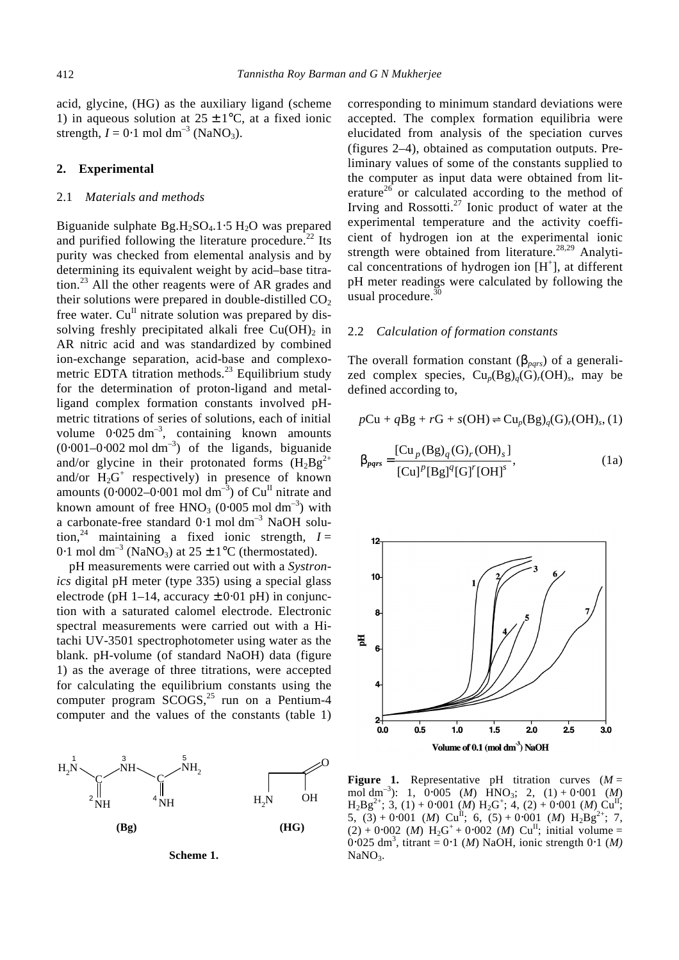acid, glycine, (HG) as the auxiliary ligand (scheme 1) in aqueous solution at  $25 \pm 1$ °C, at a fixed ionic strength,  $I = 0.1$  mol dm<sup>-3</sup> (NaNO<sub>3</sub>).

### **2. Experimental**

#### 2.1 *Materials and methods*

Biguanide sulphate  $Bg.H_2SO_4.1·5 H_2O$  was prepared and purified following the literature procedure.<sup>22</sup> Its purity was checked from elemental analysis and by determining its equivalent weight by acid–base titration.<sup>23</sup> All the other reagents were of AR grades and their solutions were prepared in double-distilled  $CO<sub>2</sub>$ free water.  $Cu<sup>H</sup>$  nitrate solution was prepared by dissolving freshly precipitated alkali free  $Cu(OH)_{2}$  in AR nitric acid and was standardized by combined ion-exchange separation, acid-base and complexometric EDTA titration methods.<sup>23</sup> Equilibrium study for the determination of proton-ligand and metalligand complex formation constants involved pHmetric titrations of series of solutions, each of initial volume  $0.025 \text{ dm}^{-3}$ , containing known amounts  $(0.001-0.002 \text{ mol dm}^{-3})$  of the ligands, biguanide and/or glycine in their protonated forms  $(H_2Bg^{2+})$ and/or  $H_2G^+$  respectively) in presence of known amounts (0⋅0002–0⋅001 mol dm<sup>-3</sup>) of  $Cu<sup>II</sup>$  nitrate and known amount of free  $HNO<sub>3</sub>$  (0⋅005 mol dm<sup>-3</sup>) with a carbonate-free standard  $0.1$  mol dm<sup>-3</sup> NaOH solution,<sup>24</sup> maintaining a fixed ionic strength,  $I =$ 0⋅1 mol dm<sup>-3</sup> (NaNO<sub>3</sub>) at 25 ± 1<sup>o</sup>C (thermostated).

pH measurements were carried out with a *Systronics* digital pH meter (type 335) using a special glass electrode (pH 1–14, accuracy  $\pm$  0⋅01 pH) in conjunction with a saturated calomel electrode. Electronic spectral measurements were carried out with a Hitachi UV-3501 spectrophotometer using water as the blank. pH-volume (of standard NaOH) data (figure 1) as the average of three titrations, were accepted for calculating the equilibrium constants using the computer program  $SCOGS<sub>1</sub><sup>25</sup>$  run on a Pentium-4 computer and the values of the constants (table 1)





corresponding to minimum standard deviations were accepted. The complex formation equilibria were elucidated from analysis of the speciation curves (figures 2–4), obtained as computation outputs. Preliminary values of some of the constants supplied to the computer as input data were obtained from literature<sup>26</sup> or calculated according to the method of Irving and Rossotti. $^{27}$  Ionic product of water at the experimental temperature and the activity coefficient of hydrogen ion at the experimental ionic strength were obtained from literature.<sup>28,29</sup> Analytical concentrations of hydrogen ion  $[H^+]$ , at different pH meter readings were calculated by following the usual procedure. $30$ 

### 2.2 *Calculation of formation constants*

The overall formation constant  $(b<sub>pars</sub>)$  of a generalized complex species,  $Cu_p(Bg)_{q}(G)_{r}(OH)_{s}$ , may be defined according to,

$$
pCu + qBg + rG + s(OH) \rightleftharpoons Cu_p(Bg)_q(G)_r(OH)_s, (1)
$$

$$
\boldsymbol{b}_{pqrs} = \frac{\left[\mathrm{Cu}_p(\mathrm{Bg})_q(\mathrm{G})_r(\mathrm{OH})_s\right]}{\left[\mathrm{Cu}\right]^p\left[\mathrm{Bg}\right]^q\left[\mathrm{G}\right]^r\left[\mathrm{OH}\right]^s},\tag{1a}
$$



**Figure 1.** Representative pH titration curves  $(M =$ mol dm<sup>-3</sup>): 1, 0⋅005 (*M*) HNO<sub>3</sub>; 2, (1) + 0⋅001 (*M*)  $H_2 B g^{2+}$ ; 3, (1) + 0⋅001 (*M*)  $H_2 G^+$ ; 4, (2) + 0⋅001 (*M*) Cu<sup>II</sup>;  $5, (3) + 0.001$  (*M*) Cu<sup>II</sup>; 6, (5) + 0.001 (*M*) H<sub>2</sub>Bg<sup>2+</sup>; 7,  $(2) + 0.002$  *(M)* H<sub>2</sub>G<sup>+</sup> + 0.002 *(M)* Cu<sup>II</sup>; initial volume = 0⋅025 dm<sup>3</sup> , titrant = 0⋅1 (*M*) NaOH, ionic strength 0⋅1 (*M)* NaNO<sub>3</sub>.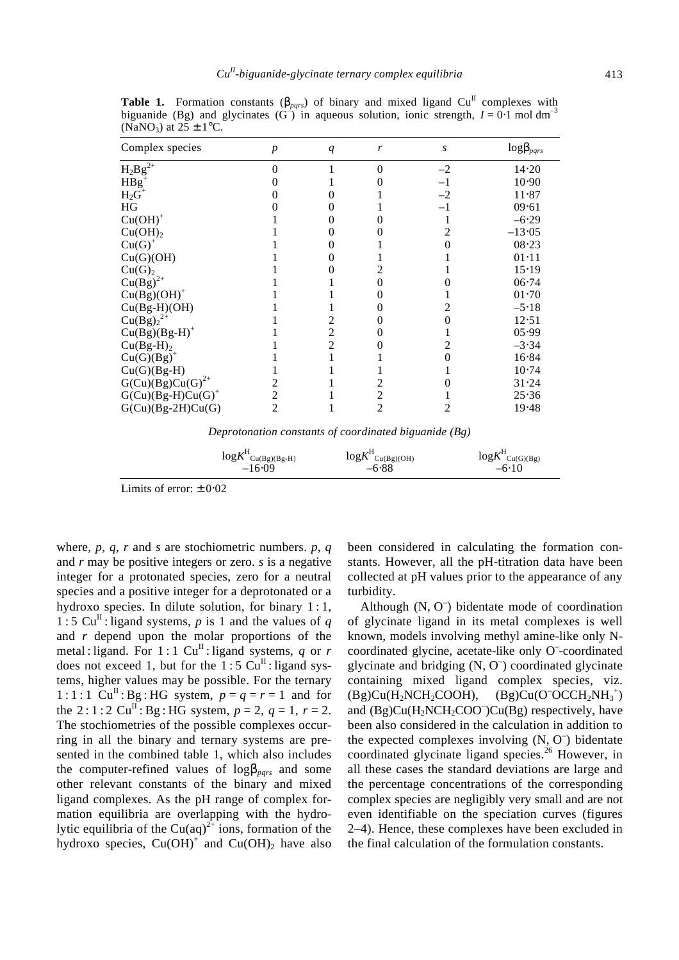| Complex species      | $\boldsymbol{p}$ | q              | r | S    | $log\bm{b}_{pqrs}$ |
|----------------------|------------------|----------------|---|------|--------------------|
| $\rm{H_2Bg}^{2+}$    | 0                |                | 0 | $-2$ | 14.20              |
| $H B g^+$            |                  |                |   | $-1$ | 10.90              |
| $H_2G^+$             |                  |                |   | $-2$ | 11.87              |
| HG                   |                  |                |   | $-1$ | 09.61              |
| $Cu(OH)+$            |                  |                |   |      | $-6.29$            |
| $Cu(OH)$ ,           |                  |                |   |      | $-13.05$           |
| $Cu(G)^{+}$          |                  |                |   |      | $08 - 23$          |
| Cu(G)(OH)            |                  |                |   |      | $01 - 11$          |
| Cu(G) <sub>2</sub>   |                  |                |   |      | 15.19              |
| $Cu(Bg)^{2+}$        |                  |                | 0 |      | $06 - 74$          |
| $Cu(Bg)(OH)+$        |                  |                | 0 |      | $01 - 70$          |
| $Cu(Bg-H)(OH)$       |                  |                | 0 |      | $-5.18$            |
| $Cu(Bg)22+$          |                  | 2              | 0 |      | 12.51              |
| $Cu(Bg)(Bg-H)^+$     |                  | $\overline{2}$ | 0 |      | 05.99              |
| $Cu(Bg-H)2$          |                  | 2              |   |      | $-3.34$            |
| $Cu(G)(Bg)^{+}$      |                  |                |   |      | 16.84              |
| $Cu(G)(Bg-H)$        |                  |                |   |      | 10.74              |
| $G(Cu)(Bg)Cu(G)2+$   |                  |                |   |      | 31.24              |
| $G(Cu)(Bg-H)Cu(G)^+$ |                  |                | 2 |      | 25.36              |
| $G(Cu)(Bg-2H)Cu(G)$  | $\overline{c}$   |                | 2 |      | 19.48              |

**Table 1.** Formation constants  $(b_{pqrs})$  of binary and mixed ligand Cu<sup>II</sup> complexes with biguanide (Bg) and glycinates  $(G^-)$  in aqueous solution, ionic strength,  $I = 0.1$  mol dm<sup>-3</sup>  $(NaNO_3)$  at  $25 \pm 1$  °C.

*Deprotonation constants of coordinated biguanide (Bg)*

 $logK$ <sup>H</sup> $_{Cu(Bg)(Bg-H)}$  log*K*  $\frac{H}{\text{Cu(Bg)(OH)}}$  log*K* H Cu(G)(Bg)  $-16.09$   $-6.88$   $-6.10$ 

Limits of error:  $\pm 0.02$ 

where, *p*, *q*, *r* and *s* are stochiometric numbers. *p*, *q* and *r* may be positive integers or zero. *s* is a negative integer for a protonated species, zero for a neutral species and a positive integer for a deprotonated or a hydroxo species. In dilute solution, for binary 1 : 1, 1 : 5 Cu<sup>II</sup> : ligand systems, p is 1 and the values of q and *r* depend upon the molar proportions of the metal : ligand. For  $1:1 \text{ Cu}^{\text{II}}$  : ligand systems, *q* or *r* does not exceed 1, but for the  $1:5 \text{ Cu}^{\text{II}}$ : ligand systems, higher values may be possible. For the ternary 1 : 1 : 1  $Cu^{II}$  : Bg : HG system,  $p = q = r = 1$  and for the 2:1:2 Cu<sup>II</sup>: Bg: HG system,  $p = 2$ ,  $q = 1$ ,  $r = 2$ . The stochiometries of the possible complexes occurring in all the binary and ternary systems are presented in the combined table 1, which also includes the computer-refined values of  $log b_{\text{parts}}$  and some other relevant constants of the binary and mixed ligand complexes. As the pH range of complex formation equilibria are overlapping with the hydrolytic equilibria of the Cu(aq)<sup>2+</sup> ions, formation of the hydroxo species,  $Cu(OH)^{+}$  and  $Cu(OH)_{2}$  have also

been considered in calculating the formation constants. However, all the pH-titration data have been collected at pH values prior to the appearance of any turbidity.

Although (N, O – ) bidentate mode of coordination of glycinate ligand in its metal complexes is well known, models involving methyl amine-like only Ncoordinated glycine, acetate-like only O<sup>-</sup>-coordinated glycinate and bridging (N, O – ) coordinated glycinate containing mixed ligand complex species, viz.  $(Bg)Cu(H<sub>2</sub>NCH<sub>2</sub>COOH)$ ,  $\left( \right)$ and (Bg)Cu(H<sub>2</sub>NCH<sub>2</sub>COO<sup>-</sup>)Cu(Bg) respectively, have been also considered in the calculation in addition to the expected complexes involving  $(N, O<sup>-</sup>)$  bidentate coordinated glycinate ligand species.<sup>26</sup> However, in all these cases the standard deviations are large and the percentage concentrations of the corresponding complex species are negligibly very small and are not even identifiable on the speciation curves (figures 2–4). Hence, these complexes have been excluded in the final calculation of the formulation constants.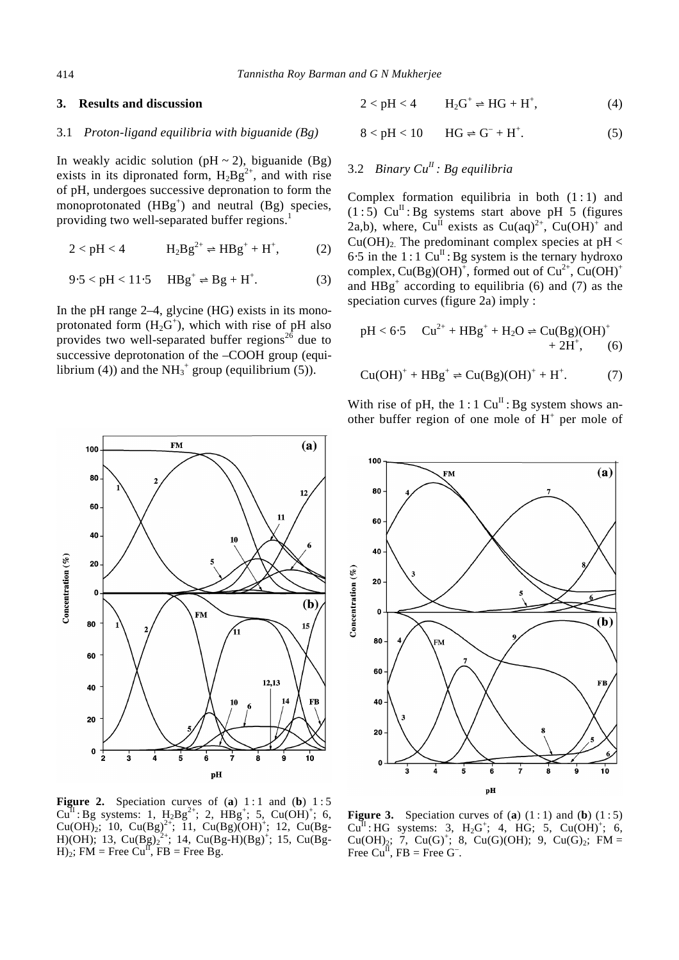### **3. Results and discussion**

### 3.1 *Proton-ligand equilibria with biguanide (Bg)*

In weakly acidic solution ( $pH \sim 2$ ), biguanide (Bg) exists in its dipronated form,  $H_2Bg^{2+}$ , and with rise of pH, undergoes successive depronation to form the monoprotonated  $(HBg^+)$  and neutral  $(Bg)$  species, providing two well-separated buffer regions.<sup>1</sup>

$$
2 < pH < 4 \qquad H_2Bg^{2+} \rightleftharpoons HBg^+ + H^+, \qquad (2)
$$

$$
9.5 < pH < 11.5 \quad \text{HBg}^+ \rightleftharpoons \text{Bg} + \text{H}^+. \tag{3}
$$

In the pH range 2–4, glycine (HG) exists in its monoprotonated form  $(H_2G^+)$ , which with rise of pH also provides two well-separated buffer regions<sup>26</sup> due to successive deprotonation of the –COOH group (equilibrium (4)) and the  $NH_3^+$  group (equilibrium (5)).

$$
2 < pH < 4 \qquad H_2G^+ \rightleftharpoons HG + H^+, \tag{4}
$$

$$
8 < pH < 10 \qquad HG \rightleftharpoons G^- + H^+. \tag{5}
$$

## 3.2 *Binary CuII : Bg equilibria*

Complex formation equilibria in both  $(1:1)$  and  $(1:5)$  Cu<sup>II</sup>: Bg systems start above pH 5 (figures 2a,b), where,  $Cu^{II}$  exists as  $Cu(aq)^{2+}$ ,  $Cu(OH)^{+}$  and  $Cu(OH)<sub>2</sub>$ . The predominant complex species at pH <  $6·5$  in the 1 : 1  $Cu<sup>II</sup>$ : Bg system is the ternary hydroxo complex,  $Cu(Bg)(OH)^{+}$ , formed out of  $Cu^{2+}$ ,  $Cu(OH)^{+}$ and  $HBg<sup>+</sup>$  according to equilibria (6) and (7) as the speciation curves (figure 2a) imply :

$$
pH < 6.5 \quad Cu^{2+} + HBg^{+} + H_2O \rightleftharpoons Cu(Bg)(OH)^{+} + 2H^{+}, \qquad (6)
$$

$$
Cu(OH)^{+} + HBg^{+} \rightleftharpoons Cu(Bg)(OH)^{+} + H^{+}.
$$
 (7)

With rise of pH, the 1 : 1  $Cu^{II}$  : Bg system shows another buffer region of one mole of  $H^+$  per mole of



**Figure 2.** Speciation curves of  $(a)$  1:1 and  $(b)$  1:5  $Cu^{II}$ : Bg systems: 1,  $H_2Bg^{2+}$ ; 2,  $HBg^{+}$ ; 5,  $Cu(OH)^{+}$ ; 6,  $Cu(OH)_2$ ; 10,  $Cu(Bg)^{2+}$ ; 11,  $Cu(Bg)(OH)^{+}$ ; 12,  $Cu(Bg-$ H)(OH); 13, Cu(Bg)<sub>2</sub><sup>2+</sup>; 14, Cu(Bg-H)(Bg)<sup>+</sup>; 15, Cu(Bg- $H$ <sub>2</sub>; FM = Free Cu<sup>II</sup>, FB = Free Bg.

**Figure 3.** Speciation curves of (**a**)  $(1:1)$  and (**b**)  $(1:5)$  $Cu^{II}$ : HG systems: 3, H<sub>2</sub>G<sup>+</sup>; 4, HG; 5, Cu(OH)<sup>+</sup>; 6, Cu(OH)<sub>2</sub>; 7, Cu(G)<sup>+</sup>; 8, Cu(G)(OH); 9, Cu(G)<sub>2</sub>; FM = Free  $Cu^{\overline{II}}$ , FB = Free G<sup>-</sup>.

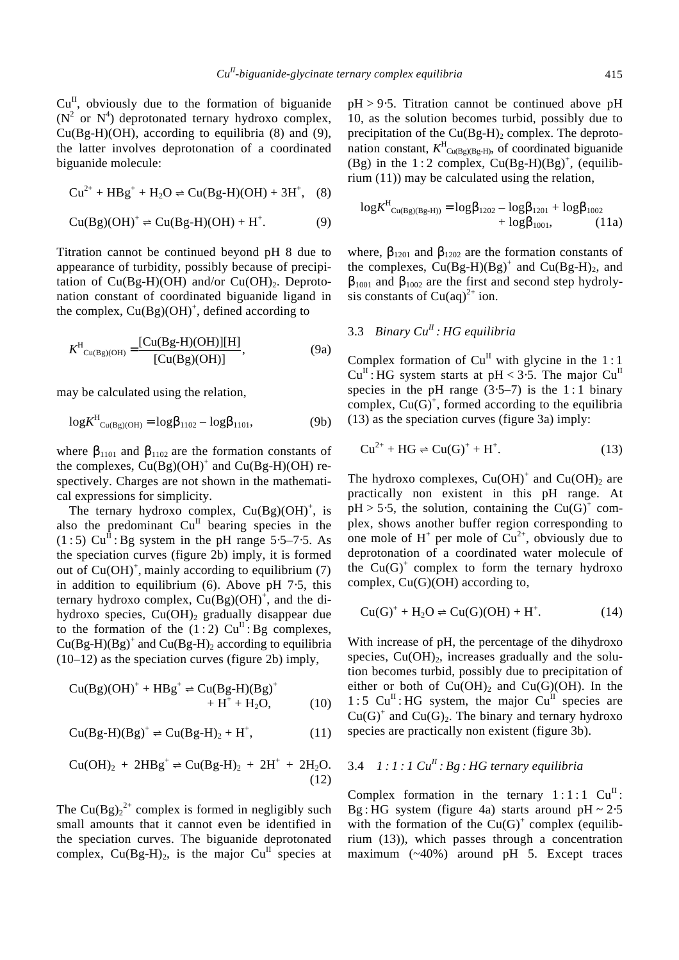$Cu^{II}$ , obviously due to the formation of biguanide  $(N^2$  or  $N^4$ ) deprotonated ternary hydroxo complex,  $Cu(Bg-H)(OH)$ , according to equilibria (8) and (9), the latter involves deprotonation of a coordinated biguanide molecule:

$$
Cu^{2+} + HBg^{+} + H_2O \rightleftharpoons Cu(Bg-H)(OH) + 3H^{+}, \quad (8)
$$

$$
Cu(Bg)(OH)^{+} \rightleftharpoons Cu(Bg-H)(OH) + H^{+}.
$$
 (9)

Titration cannot be continued beyond pH 8 due to appearance of turbidity, possibly because of precipitation of  $Cu(Bg-H)(OH)$  and/or  $Cu(OH)<sub>2</sub>$ . Deprotonation constant of coordinated biguanide ligand in the complex,  $Cu(Bg)(OH)^{+}$ , defined according to

$$
K^{\rm H}_{\rm Cu(Bg)(OH)} = \frac{[Cu(Bg-H)(OH)][H]}{[Cu(Bg)(OH)]},
$$
\n(9a)

may be calculated using the relation,

$$
\log K^{\rm H}_{\rm Cu(Bg)(OH)} = \log {\bm b}_{1102} - \log {\bm b}_{1101}, \tag{9b}
$$

where  $\mathbf{b}_{1101}$  and  $\mathbf{b}_{1102}$  are the formation constants of the complexes,  $Cu(Bg)(OH)^+$  and  $Cu(Bg-H)(OH)$  respectively. Charges are not shown in the mathematical expressions for simplicity.

The ternary hydroxo complex,  $Cu(Bg)(OH)^{+}$ , is also the predominant  $Cu^{II}$  bearing species in the  $(1:5)$  Cu<sup>II</sup>: Bg system in the pH range 5⋅5–7⋅5. As the speciation curves (figure 2b) imply, it is formed out of  $Cu(OH)^+$ , mainly according to equilibrium (7) in addition to equilibrium (6). Above pH 7⋅5, this ternary hydroxo complex,  $Cu(Bg)(OH)^{+}$ , and the dihydroxo species,  $Cu(OH)_2$  gradually disappear due to the formation of the  $(1:2)$  Cu<sup>II</sup>: Bg complexes,  $Cu(Bg-H)(Bg)^+$  and  $Cu(Bg-H)_2$  according to equilibria (10–12) as the speciation curves (figure 2b) imply,

$$
Cu(Bg)(OH)^{+} + HBg^{+} \rightleftharpoons Cu(Bg-H)(Bg)^{+} + H^{+} + H_{2}O,
$$
 (10)

$$
\text{Cu(Bg-H)(Bg)}^+ \rightleftharpoons \text{Cu(Bg-H)}_2 + \text{H}^+, \tag{11}
$$

$$
Cu(OH)_2 + 2HBg^+ \rightleftharpoons Cu(Bg-H)_2 + 2H^+ + 2H_2O. \tag{12}
$$

The Cu(Bg)<sub>2</sub><sup>2+</sup> complex is formed in negligibly such small amounts that it cannot even be identified in the speciation curves. The biguanide deprotonated complex,  $Cu(Bg-H)<sub>2</sub>$ , is the major  $Cu<sup>H</sup>$  species at pH > 9⋅5. Titration cannot be continued above pH 10, as the solution becomes turbid, possibly due to precipitation of the  $Cu(Bg-H)$ <sub>2</sub> complex. The deprotonation constant,  $K^H_{\text{Cu(Bg)(Bg-H)}}$ , of coordinated biguanide (Bg) in the  $1:2$  complex,  $Cu(Bg-H)(Bg)^{+}$ , (equilibrium (11)) may be calculated using the relation,

$$
logK^{H}_{Cu(Bg)(Bg-H))} = logb1202 - logb1201 + logb1002 + logb1001, (11a)
$$

where,  $\mathbf{b}_{1201}$  and  $\mathbf{b}_{1202}$  are the formation constants of the complexes,  $Cu(Bg-H)(Bg)^+$  and  $Cu(Bg-H)_2$ , and  **and**  $**b**<sub>1002</sub>$  **are the first and second step hydroly**sis constants of  $Cu(aq)^{2+}$  ion.

## 3.3 *Binary CuII : HG equilibria*

Complex formation of  $Cu^{II}$  with glycine in the 1:1  $Cu^{II}$ : HG system starts at pH < 3⋅5. The major  $Cu^{II}$ species in the pH range  $(3.5-7)$  is the 1:1 binary complex,  $Cu(G)^+$ , formed according to the equilibria (13) as the speciation curves (figure 3a) imply:

$$
Cu^{2+} + HG \rightleftharpoons Cu(G)^{+} + H^{+}.
$$
 (13)

The hydroxo complexes,  $Cu(OH)^+$  and  $Cu(OH)_2$  are practically non existent in this pH range. At  $pH > 5.5$ , the solution, containing the Cu(G)<sup>+</sup> complex, shows another buffer region corresponding to one mole of  $H^+$  per mole of  $Cu^{2+}$ , obviously due to deprotonation of a coordinated water molecule of the  $Cu(G)^+$  complex to form the ternary hydroxo complex, Cu(G)(OH) according to,

$$
Cu(G)^{+} + H_{2}O \rightleftharpoons Cu(G)(OH) + H^{+}.
$$
 (14)

With increase of pH, the percentage of the dihydroxo species,  $Cu(OH)_2$ , increases gradually and the solution becomes turbid, possibly due to precipitation of either or both of  $Cu(OH)_2$  and  $Cu(G)(OH)$ . In the 1 : 5  $Cu^{II}$  : HG system, the major  $Cu^{II}$  species are  $Cu(G)^+$  and  $Cu(G)_2$ . The binary and ternary hydroxo species are practically non existent (figure 3b).

## 3.4 *1 : 1 : 1 CuII : Bg : HG ternary equilibria*

Complex formation in the ternary  $1:1:1$   $Cu<sup>H</sup>$ : Bg : HG system (figure 4a) starts around  $pH \sim 2.5$ with the formation of the  $Cu(G)^+$  complex (equilibrium (13)), which passes through a concentration maximum (~40%) around pH 5. Except traces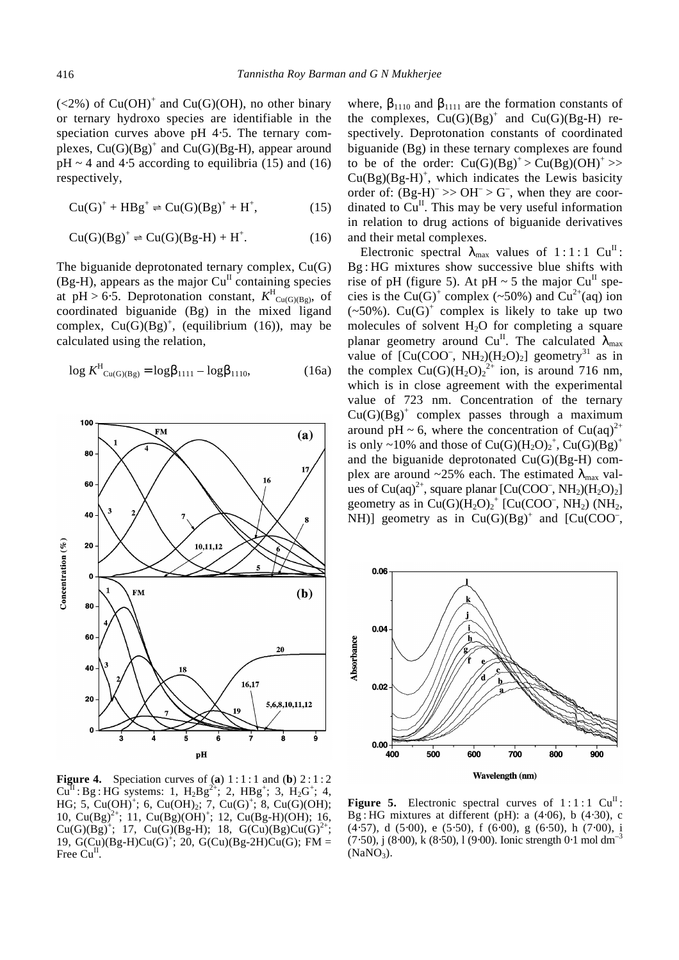$(<2%)$  of Cu(OH)<sup>+</sup> and Cu(G)(OH), no other binary or ternary hydroxo species are identifiable in the speciation curves above pH 4⋅5. The ternary complexes,  $Cu(G)(Bg)^{+}$  and  $Cu(G)(Bg-H)$ , appear around  $pH \sim 4$  and 4⋅5 according to equilibria (15) and (16) respectively,

$$
Cu(G)^{+} + HBg^{+} \rightleftharpoons Cu(G)(Bg)^{+} + H^{+}, \tag{15}
$$

$$
Cu(G)(Bg)^{+} \Rightarrow Cu(G)(Bg-H) + H^{+}.
$$
 (16)

The biguanide deprotonated ternary complex, Cu(G)  $(Bg-H)$ , appears as the major  $Cu<sup>H</sup>$  containing species at  $pH > 6.5$ . Deprotonation constant,  $K^H_{\text{Cu(G)(Bg)}}$ , of coordinated biguanide (Bg) in the mixed ligand complex,  $Cu(G)(Bg)^{+}$ , (equilibrium (16)), may be calculated using the relation,

$$
\log K^{\rm H}_{\rm Cu(G)(Bg)} = \log {\bm b}_{1111} - \log {\bm b}_{1110}, \tag{16a}
$$



**Figure 4.** Speciation curves of (a)  $1:1:1$  and (b)  $2:1:2$  $Cu^{II}$ : Bg: HG systems: 1,  $H_2 B g^{2+}$ ; 2,  $H B g^{+}$ ; 3,  $H_2 G^{+}$ ; 4, HG; 5, Cu(OH)<sup>+</sup>; 6, Cu(OH)<sub>2</sub>; 7, Cu(G)<sup>+</sup>; 8, Cu(G)(OH); 10, Cu(Bg)<sup>2+</sup>; 11, Cu(Bg)(OH)<sup>+</sup>; 12, Cu(Bg-H)(OH); 16,  $Cu(G)(Bg)^{+}$ ; 17,  $Cu(G)(Bg-H)$ ; 18,  $G(Cu)(Bg)Cu(G)^{2+}$ ; 19,  $G(Cu)(Bg-H)Cu(G)^{+}$ ; 20,  $G(Cu)(Bg-2H)Cu(G)$ ; FM = Free  $Cu<sup>H</sup>$ .

where,  $\mathbf{b}_{1110}$  and  $\mathbf{b}_{1111}$  are the formation constants of the complexes,  $Cu(G)(Bg)^{+}$  and  $Cu(G)(Bg-H)$  respectively. Deprotonation constants of coordinated biguanide (Bg) in these ternary complexes are found to be of the order:  $Cu(G)(Bg)^+ > Cu(Bg)(OH)^+ >$  $Cu(Bg)(Bg-H)^+$ , which indicates the Lewis basicity order of:  $(Bg-H)^{-} >> OH^{-} > G^{-}$ , when they are coordinated to  $Cu<sup>II</sup>$ . This may be very useful information in relation to drug actions of biguanide derivatives and their metal complexes.

Electronic spectral  $I_{\text{max}}$  values of 1:1:1 Cu<sup>II</sup>: Bg : HG mixtures show successive blue shifts with rise of pH (figure 5). At pH  $\sim$  5 the major Cu<sup>II</sup> species is the Cu(G)<sup>+</sup> complex (~50%) and Cu<sup>2+</sup>(aq) ion  $(\sim 50\%)$ . Cu(G)<sup>+</sup> complex is likely to take up two molecules of solvent  $H_2O$  for completing a square planar geometry around  $Cu^{II}$ . The calculated  $I_{max}$ value of  $\text{[Cu(COO^-, NH_2)(H_2O)_2]}$  geometry<sup>31</sup> as in the complex  $Cu(G)(H_2O)_2^{2+}$  ion, is around 716 nm, which is in close agreement with the experimental value of 723 nm. Concentration of the ternary  $Cu(G)(Bg)^+$  complex passes through a maximum around pH ~ 6, where the concentration of Cu(aq)<sup>2+</sup> is only ~10% and those of  $Cu(G)(H_2O)_2^+$ ,  $Cu(G)(Bg)^+$ and the biguanide deprotonated Cu(G)(Bg-H) complex are around  $\sim$ 25% each. The estimated  $I_{\text{max}}$  values of Cu(aq)<sup>2+</sup>, square planar  $[Cu(COO^-, NH_2)(H_2O)_2]$ geometry as in  $Cu(G)(H<sub>2</sub>O)<sub>2</sub><sup>+</sup> [Cu(COO<sup>-</sup>, NH<sub>2</sub>) (NH<sub>2</sub>,$ NH)] geometry as in  $Cu(G)(Bg)^{+}$  and  $[Cu(COO^{-},$ 



**Figure 5.** Electronic spectral curves of  $1:1:1$  Cu<sup>II</sup>: Bg : HG mixtures at different (pH): a (4⋅06), b (4⋅30), c (4⋅57), d (5⋅00), e (5⋅50), f (6⋅00), g (6⋅50), h (7⋅00), i  $(7·50)$ , j  $(8·00)$ , k  $(8·50)$ , l  $(9·00)$ . Ionic strength 0⋅1 mol dm<sup>-3</sup>  $(NaNO<sub>3</sub>)$ .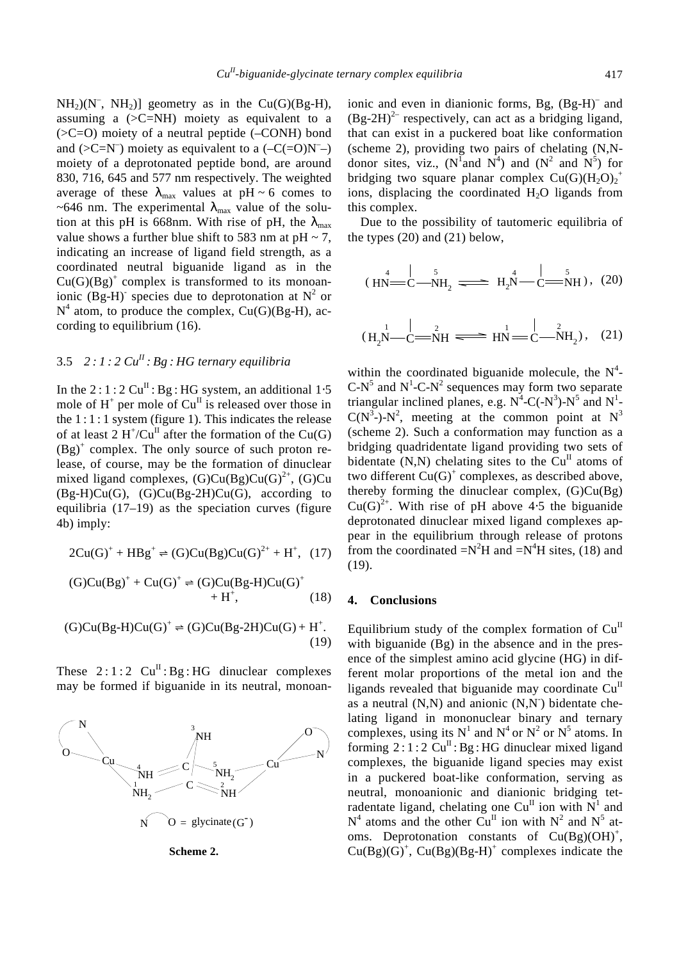$NH<sub>2</sub>)(N<sup>-</sup>, NH<sub>2</sub>)$ ] geometry as in the Cu(G)(Bg-H), assuming a  $(SC=NH)$  moiety as equivalent to a  $(SC=O)$  moiety of a neutral peptide  $(-CONH)$  bond and  $(>C=N^{-})$  moiety as equivalent to a  $(-C(=O)N^{-})$ moiety of a deprotonated peptide bond, are around 830, 716, 645 and 577 nm respectively. The weighted average of these  $I_{\text{max}}$  values at pH ~ 6 comes to ~646 nm. The experimental  $I_{\text{max}}$  value of the solution at this pH is 668nm. With rise of pH, the  $I_{\text{max}}$ value shows a further blue shift to 583 nm at  $pH \sim 7$ , indicating an increase of ligand field strength, as a coordinated neutral biguanide ligand as in the  $Cu(G)(Bg)^+$  complex is transformed to its monoanionic (Bg-H)<sup>-</sup> species due to deprotonation at  $N^2$  or  $N^4$  atom, to produce the complex, Cu(G)(Bg-H), according to equilibrium (16).

## 3.5 *2 : 1 : 2 CuII : Bg : HG ternary equilibria*

In the 2 :  $1:2 \text{ Cu}^{\text{II}}$ : Bg : HG system, an additional 1⋅5 mole of  $H^+$  per mole of  $Cu<sup>H</sup>$  is released over those in the  $1:1:1$  system (figure 1). This indicates the release of at least 2  $H^{\dagger}/Cu^{\Pi}$  after the formation of the Cu(G)  $(Bg)^+$  complex. The only source of such proton release, of course, may be the formation of dinuclear mixed ligand complexes,  $(G)Cu(Bg)Cu(G)^{2+}$ ,  $(G)Cu$  $(Bg-H)Cu(G)$ ,  $(G)Cu(Bg-2H)Cu(G)$ , according to equilibria (17–19) as the speciation curves (figure 4b) imply:

$$
2Cu(G)^{+} + HBg^{+} \rightleftharpoons (G)Cu(Bg)Cu(G)^{2+} + H^{+}, (17)
$$

$$
(G)Cu(Bg)+ + Cu(G)+ \Rightarrow (G)Cu(Bg-H)Cu(G)+ + H+, \qquad (18)
$$

$$
(G)Cu(Bg-H)Cu(G)^{+} \Rightarrow (G)Cu(Bg-2H)Cu(G) + H^{+}.
$$
\n(19)

These  $2:1:2$   $Cu^{II}$ : Bg: HG dinuclear complexes may be formed if biguanide in its neutral, monoan-





ionic and even in dianionic forms, Bg, (Bg-H)<sup>-</sup> and  $(Bg-2H)^{2-}$  respectively, can act as a bridging ligand, that can exist in a puckered boat like conformation (scheme 2), providing two pairs of chelating (N,Ndonor sites, viz., (N<sup>1</sup> and N<sup>4</sup>) and (N<sup>2</sup> and N<sup>5</sup>) for bridging two square planar complex  $Cu(G)(H_2O)_2^+$ ions, displacing the coordinated  $H_2O$  ligands from this complex.

Due to the possibility of tautomeric equilibria of the types (20) and (21) below,

$$
(HN = C-MH2 \implies H2N - C=MN
$$
 (20)

$$
(H_2N-C=MH \xrightarrow{2} HN=C-MH_2), (21)
$$

within the coordinated biguanide molecule, the  $N^4$ - $C-N^5$  and  $N^1-C-N^2$  sequences may form two separate triangular inclined planes, e.g.  $N^4$ -C(- $N^3$ )- $N^5$  and  $N^1$ - $C(N^3-)N^2$ , meeting at the common point at  $N^3$ (scheme 2). Such a conformation may function as a bridging quadridentate ligand providing two sets of bidentate  $(N, N)$  chelating sites to the Cu<sup>II</sup> atoms of two different  $Cu(G)^+$  complexes, as described above, thereby forming the dinuclear complex,  $(G)Cu(Bg)$  $Cu(G)^{2+}$ . With rise of pH above 4⋅5 the biguanide deprotonated dinuclear mixed ligand complexes appear in the equilibrium through release of protons from the coordinated  $=N^2H$  and  $=N^4H$  sites, (18) and (19).

### **4. Conclusions**

Equilibrium study of the complex formation of  $Cu<sup>II</sup>$ with biguanide (Bg) in the absence and in the presence of the simplest amino acid glycine (HG) in different molar proportions of the metal ion and the ligands revealed that biguanide may coordinate  $Cu<sup>H</sup>$ as a neutral  $(N,N)$  and anionic  $(N,N)$  bidentate chelating ligand in mononuclear binary and ternary complexes, using its  $N^1$  and  $N^4$  or  $N^2$  or  $N^5$  atoms. In forming  $2:1:2 \text{ Cu}^{\text{II}}$ : Bg: HG dinuclear mixed ligand complexes, the biguanide ligand species may exist in a puckered boat-like conformation, serving as neutral, monoanionic and dianionic bridging tetradentate ligand, chelating one Cu<sup>II</sup> ion with  $N^1$  and  $N^4$  atoms and the other Cu<sup>II</sup> ion with  $N^2$  and  $N^5$  atoms. Deprotonation constants of  $Cu(Bg)(OH)^+,$  $Cu(Bg)(G)^{+}$ ,  $Cu(Bg)(Bg-H)^{+}$  complexes indicate the